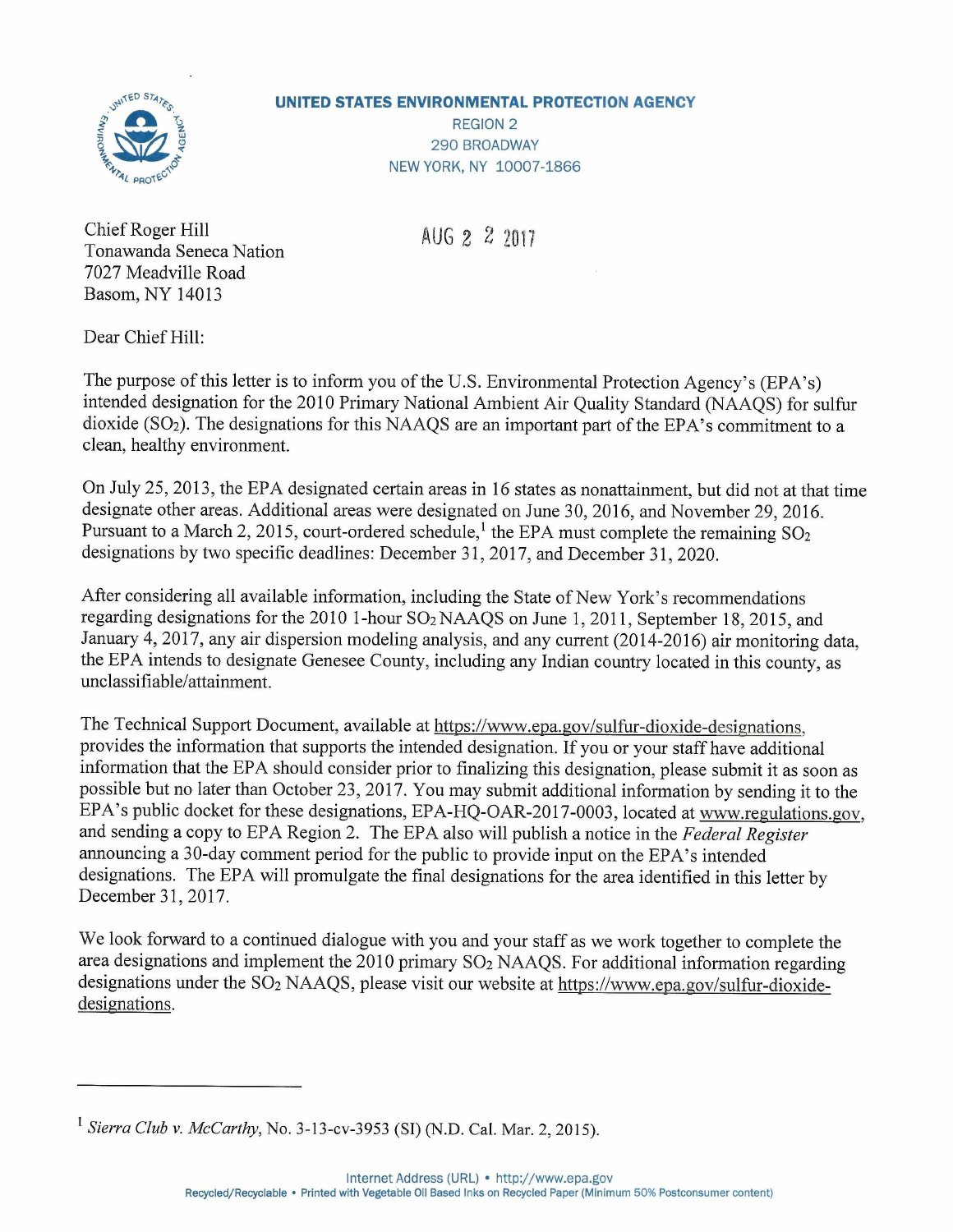

## **UNITED STATES ENVIRONMENTAL PROTECTION AGENCY**

REGION 2 290 BROADWAY NEW YORK, NY 10007-1866

Chief Roger Hill Tonawanda Seneca Nation 7027 Meadville Road Basom, NY 14013

 $AUG 2 2 2 2 11 7$ 

Dear Chief Hill:

The purpose of this letter is to inform you of the U.S. Environmental Protection Agency's (EPA's) intended designation for the 2010 Primary National Ambient Air Quality Standard (NAAQS) for sulfur dioxide (S02). The designations for this NAAQS are an important part of the EPA's commitment to a clean, healthy environment.

On July 25,2013, the EPA designated certain areas in 16 states as nonattainment, but did not at that time designate other areas. Additional areas were designated on June 30, 2016, and November 29,2016. Pursuant to a March 2, 2015, court-ordered schedule, the EPA must complete the remaining  $SO_2$ designations by two specific deadlines: December 31, 2017, and December 31, 2020.

After considering all available information, including the State of New York's recommendations regarding designations for the 2010 I-hour S02 NAAQS on June 1,2011, September 18,2015, and January 4,2017, any air dispersion modeling analysis, and any current (2014-2016) air monitoring data, the EPA intends to designate Genesee County, including any Indian country located in this county, as unclassifiable/attainment.

The Technical Support Document, available at https://www.epa.gov/sulfur-dioxide-designations, provides the information that supports the intended designation. If you or your staff have additional information that the EPA should consider prior to finalizing this designation, please submit it as soon as possible but no later than October 23,2017. You may submit additional information by sending it to the EPA's public docket for these designations, EPA-HQ-OAR-2017-0003, located at www.regulations.gov, and sending a copy to EPA Region 2. The EPA also will publish a notice in the *Federal Register* announcing a 30-day comment period for the public to provide input on the EPA's intended designations. The EPA will promulgate the final designations for the area identified in this letter by December 31,2017.

We look forward to a continued dialogue with you and your staff as we work together to complete the area designations and implement the 2010 primary  $SO<sub>2</sub> NAAQS$ . For additional information regarding designations under the SO<sub>2</sub> NAAQS, please visit our website at https://www.epa.gov/sulfur-dioxidedesignations.

<sup>1</sup> *Sierra Club* v. *McCarthy,* No. 3-13-cv-3953 (SI) (N.D. Cal. Mar. 2, 2015).